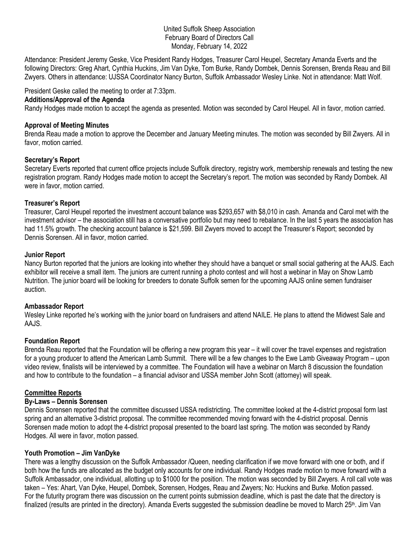#### United Suffolk Sheep Association February Board of Directors Call Monday, February 14, 2022

Attendance: President Jeremy Geske, Vice President Randy Hodges, Treasurer Carol Heupel, Secretary Amanda Everts and the following Directors: Greg Ahart, Cynthia Huckins, Jim Van Dyke, Tom Burke, Randy Dombek, Dennis Sorensen, Brenda Reau and Bill Zwyers. Others in attendance: UJSSA Coordinator Nancy Burton, Suffolk Ambassador Wesley Linke. Not in attendance: Matt Wolf.

President Geske called the meeting to order at 7:33pm.

### **Additions/Approval of the Agenda**

Randy Hodges made motion to accept the agenda as presented. Motion was seconded by Carol Heupel. All in favor, motion carried.

### **Approval of Meeting Minutes**

Brenda Reau made a motion to approve the December and January Meeting minutes. The motion was seconded by Bill Zwyers. All in favor, motion carried.

# **Secretary's Report**

Secretary Everts reported that current office projects include Suffolk directory, registry work, membership renewals and testing the new registration program. Randy Hodges made motion to accept the Secretary's report. The motion was seconded by Randy Dombek. All were in favor, motion carried.

# **Treasurer's Report**

Treasurer, Carol Heupel reported the investment account balance was \$293,657 with \$8,010 in cash. Amanda and Carol met with the investment advisor – the association still has a conversative portfolio but may need to rebalance. In the last 5 years the association has had 11.5% growth. The checking account balance is \$21,599. Bill Zwyers moved to accept the Treasurer's Report; seconded by Dennis Sorensen. All in favor, motion carried.

### **Junior Report**

Nancy Burton reported that the juniors are looking into whether they should have a banquet or small social gathering at the AAJS. Each exhibitor will receive a small item. The juniors are current running a photo contest and will host a webinar in May on Show Lamb Nutrition. The junior board will be looking for breeders to donate Suffolk semen for the upcoming AAJS online semen fundraiser auction.

#### **Ambassador Report**

Wesley Linke reported he's working with the junior board on fundraisers and attend NAILE. He plans to attend the Midwest Sale and AAJS.

# **Foundation Report**

Brenda Reau reported that the Foundation will be offering a new program this year – it will cover the travel expenses and registration for a young producer to attend the American Lamb Summit. There will be a few changes to the Ewe Lamb Giveaway Program – upon video review, finalists will be interviewed by a committee. The Foundation will have a webinar on March 8 discussion the foundation and how to contribute to the foundation – a financial advisor and USSA member John Scott (attorney) will speak.

# **Committee Reports**

# **By-Laws – Dennis Sorensen**

Dennis Sorensen reported that the committee discussed USSA redistricting. The committee looked at the 4-district proposal form last spring and an alternative 3-district proposal. The committee recommended moving forward with the 4-district proposal. Dennis Sorensen made motion to adopt the 4-district proposal presented to the board last spring. The motion was seconded by Randy Hodges. All were in favor, motion passed.

# **Youth Promotion – Jim VanDyke**

There was a lengthy discussion on the Suffolk Ambassador /Queen, needing clarification if we move forward with one or both, and if both how the funds are allocated as the budget only accounts for one individual. Randy Hodges made motion to move forward with a Suffolk Ambassador, one individual, allotting up to \$1000 for the position. The motion was seconded by Bill Zwyers. A roll call vote was taken – Yes: Ahart, Van Dyke, Heupel, Dombek, Sorensen, Hodges, Reau and Zwyers; No: Huckins and Burke. Motion passed. For the futurity program there was discussion on the current points submission deadline, which is past the date that the directory is finalized (results are printed in the directory). Amanda Everts suggested the submission deadline be moved to March  $25<sup>th</sup>$ . Jim Van